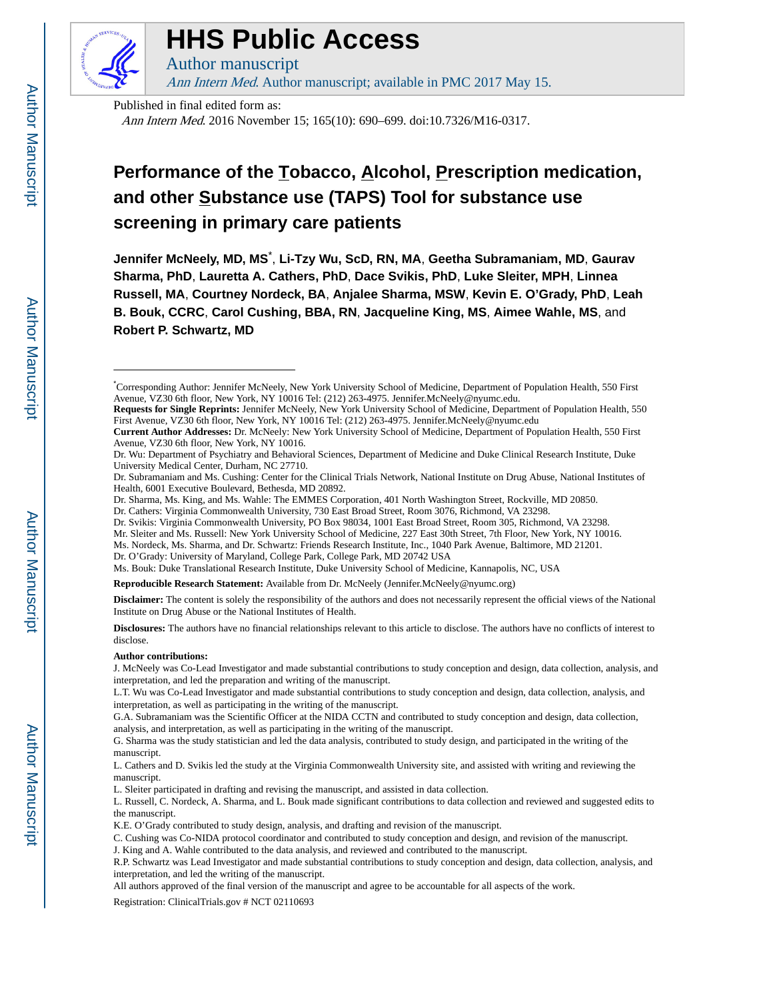

## **HHS Public Access**

Author manuscript Ann Intern Med. Author manuscript; available in PMC 2017 May 15.

Published in final edited form as:

Ann Intern Med. 2016 November 15; 165(10): 690–699. doi:10.7326/M16-0317.

### **Performance of the Tobacco, Alcohol, Prescription medication, and other Substance use (TAPS) Tool for substance use screening in primary care patients**

**Jennifer McNeely, MD, MS**\* , **Li-Tzy Wu, ScD, RN, MA**, **Geetha Subramaniam, MD**, **Gaurav Sharma, PhD**, **Lauretta A. Cathers, PhD**, **Dace Svikis, PhD**, **Luke Sleiter, MPH**, **Linnea Russell, MA**, **Courtney Nordeck, BA**, **Anjalee Sharma, MSW**, **Kevin E. O'Grady, PhD**, **Leah B. Bouk, CCRC**, **Carol Cushing, BBA, RN**, **Jacqueline King, MS**, **Aimee Wahle, MS**, and **Robert P. Schwartz, MD**

Ms. Bouk: Duke Translational Research Institute, Duke University School of Medicine, Kannapolis, NC, USA

**Reproducible Research Statement:** Available from Dr. McNeely (Jennifer.McNeely@nyumc.org)

**Disclaimer:** The content is solely the responsibility of the authors and does not necessarily represent the official views of the National Institute on Drug Abuse or the National Institutes of Health.

**Disclosures:** The authors have no financial relationships relevant to this article to disclose. The authors have no conflicts of interest to disclose.

#### **Author contributions:**

J. McNeely was Co-Lead Investigator and made substantial contributions to study conception and design, data collection, analysis, and interpretation, and led the preparation and writing of the manuscript.

L.T. Wu was Co-Lead Investigator and made substantial contributions to study conception and design, data collection, analysis, and interpretation, as well as participating in the writing of the manuscript.

G.A. Subramaniam was the Scientific Officer at the NIDA CCTN and contributed to study conception and design, data collection, analysis, and interpretation, as well as participating in the writing of the manuscript.

G. Sharma was the study statistician and led the data analysis, contributed to study design, and participated in the writing of the manuscript.

L. Cathers and D. Svikis led the study at the Virginia Commonwealth University site, and assisted with writing and reviewing the manuscript.

L. Sleiter participated in drafting and revising the manuscript, and assisted in data collection.

L. Russell, C. Nordeck, A. Sharma, and L. Bouk made significant contributions to data collection and reviewed and suggested edits to the manuscript.

C. Cushing was Co-NIDA protocol coordinator and contributed to study conception and design, and revision of the manuscript.

Registration: ClinicalTrials.gov # NCT 02110693

<sup>\*</sup>Corresponding Author: Jennifer McNeely, New York University School of Medicine, Department of Population Health, 550 First Avenue, VZ30 6th floor, New York, NY 10016 Tel: (212) 263-4975. Jennifer.McNeely@nyumc.edu.

**Requests for Single Reprints:** Jennifer McNeely, New York University School of Medicine, Department of Population Health, 550 First Avenue, VZ30 6th floor, New York, NY 10016 Tel: (212) 263-4975. Jennifer.McNeely@nyumc.edu

**Current Author Addresses:** Dr. McNeely: New York University School of Medicine, Department of Population Health, 550 First Avenue, VZ30 6th floor, New York, NY 10016.

Dr. Wu: Department of Psychiatry and Behavioral Sciences, Department of Medicine and Duke Clinical Research Institute, Duke University Medical Center, Durham, NC 27710.

Dr. Subramaniam and Ms. Cushing: Center for the Clinical Trials Network, National Institute on Drug Abuse, National Institutes of Health, 6001 Executive Boulevard, Bethesda, MD 20892.

Dr. Sharma, Ms. King, and Ms. Wahle: The EMMES Corporation, 401 North Washington Street, Rockville, MD 20850.

Dr. Cathers: Virginia Commonwealth University, 730 East Broad Street, Room 3076, Richmond, VA 23298.

Dr. Svikis: Virginia Commonwealth University, PO Box 98034, 1001 East Broad Street, Room 305, Richmond, VA 23298.

Mr. Sleiter and Ms. Russell: New York University School of Medicine, 227 East 30th Street, 7th Floor, New York, NY 10016.

Ms. Nordeck, Ms. Sharma, and Dr. Schwartz: Friends Research Institute, Inc., 1040 Park Avenue, Baltimore, MD 21201.

Dr. O'Grady: University of Maryland, College Park, College Park, MD 20742 USA

K.E. O'Grady contributed to study design, analysis, and drafting and revision of the manuscript.

J. King and A. Wahle contributed to the data analysis, and reviewed and contributed to the manuscript.

R.P. Schwartz was Lead Investigator and made substantial contributions to study conception and design, data collection, analysis, and interpretation, and led the writing of the manuscript.

All authors approved of the final version of the manuscript and agree to be accountable for all aspects of the work.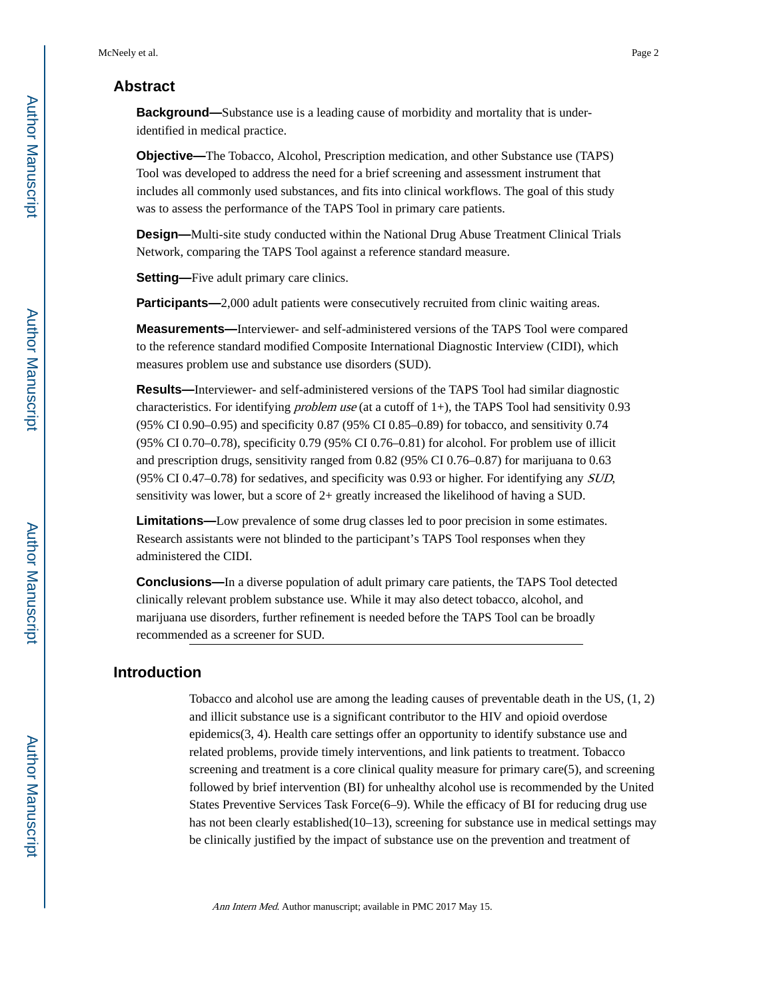#### **Abstract**

**Background—**Substance use is a leading cause of morbidity and mortality that is underidentified in medical practice.

**Objective—**The Tobacco, Alcohol, Prescription medication, and other Substance use (TAPS) Tool was developed to address the need for a brief screening and assessment instrument that includes all commonly used substances, and fits into clinical workflows. The goal of this study was to assess the performance of the TAPS Tool in primary care patients.

**Design—**Multi-site study conducted within the National Drug Abuse Treatment Clinical Trials Network, comparing the TAPS Tool against a reference standard measure.

**Setting—**Five adult primary care clinics.

**Participants—2,000 adult patients were consecutively recruited from clinic waiting areas.** 

**Measurements—**Interviewer- and self-administered versions of the TAPS Tool were compared to the reference standard modified Composite International Diagnostic Interview (CIDI), which measures problem use and substance use disorders (SUD).

**Results—**Interviewer- and self-administered versions of the TAPS Tool had similar diagnostic characteristics. For identifying *problem use* (at a cutoff of 1+), the TAPS Tool had sensitivity 0.93 (95% CI 0.90–0.95) and specificity 0.87 (95% CI 0.85–0.89) for tobacco, and sensitivity 0.74 (95% CI 0.70–0.78), specificity 0.79 (95% CI 0.76–0.81) for alcohol. For problem use of illicit and prescription drugs, sensitivity ranged from 0.82 (95% CI 0.76–0.87) for marijuana to 0.63 (95% CI 0.47–0.78) for sedatives, and specificity was 0.93 or higher. For identifying any SUD, sensitivity was lower, but a score of 2+ greatly increased the likelihood of having a SUD.

**Limitations—**Low prevalence of some drug classes led to poor precision in some estimates. Research assistants were not blinded to the participant's TAPS Tool responses when they administered the CIDI.

**Conclusions—**In a diverse population of adult primary care patients, the TAPS Tool detected clinically relevant problem substance use. While it may also detect tobacco, alcohol, and marijuana use disorders, further refinement is needed before the TAPS Tool can be broadly recommended as a screener for SUD.

#### **Introduction**

Tobacco and alcohol use are among the leading causes of preventable death in the US, (1, 2) and illicit substance use is a significant contributor to the HIV and opioid overdose epidemics(3, 4). Health care settings offer an opportunity to identify substance use and related problems, provide timely interventions, and link patients to treatment. Tobacco screening and treatment is a core clinical quality measure for primary care(5), and screening followed by brief intervention (BI) for unhealthy alcohol use is recommended by the United States Preventive Services Task Force(6–9). While the efficacy of BI for reducing drug use has not been clearly established(10–13), screening for substance use in medical settings may be clinically justified by the impact of substance use on the prevention and treatment of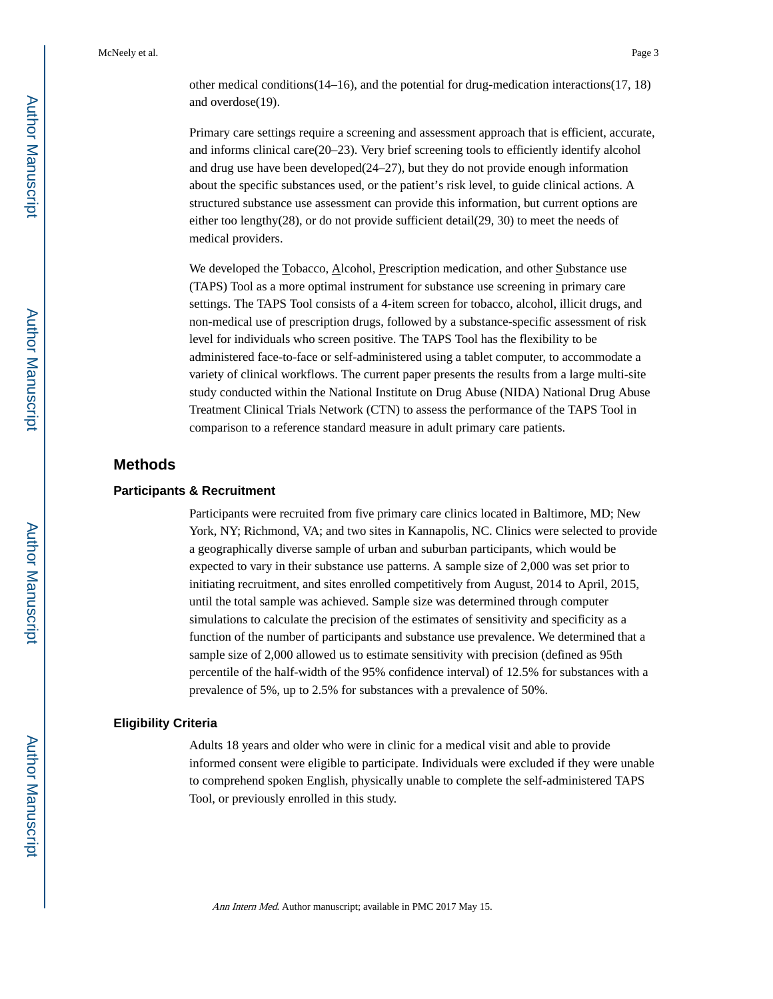other medical conditions( $14-16$ ), and the potential for drug-medication interactions( $17, 18$ ) and overdose(19).

Primary care settings require a screening and assessment approach that is efficient, accurate, and informs clinical care(20–23). Very brief screening tools to efficiently identify alcohol and drug use have been developed(24–27), but they do not provide enough information about the specific substances used, or the patient's risk level, to guide clinical actions. A structured substance use assessment can provide this information, but current options are either too lengthy(28), or do not provide sufficient detail(29, 30) to meet the needs of medical providers.

We developed the Tobacco, Alcohol, Prescription medication, and other Substance use (TAPS) Tool as a more optimal instrument for substance use screening in primary care settings. The TAPS Tool consists of a 4-item screen for tobacco, alcohol, illicit drugs, and non-medical use of prescription drugs, followed by a substance-specific assessment of risk level for individuals who screen positive. The TAPS Tool has the flexibility to be administered face-to-face or self-administered using a tablet computer, to accommodate a variety of clinical workflows. The current paper presents the results from a large multi-site study conducted within the National Institute on Drug Abuse (NIDA) National Drug Abuse Treatment Clinical Trials Network (CTN) to assess the performance of the TAPS Tool in comparison to a reference standard measure in adult primary care patients.

#### **Methods**

#### **Participants & Recruitment**

Participants were recruited from five primary care clinics located in Baltimore, MD; New York, NY; Richmond, VA; and two sites in Kannapolis, NC. Clinics were selected to provide a geographically diverse sample of urban and suburban participants, which would be expected to vary in their substance use patterns. A sample size of 2,000 was set prior to initiating recruitment, and sites enrolled competitively from August, 2014 to April, 2015, until the total sample was achieved. Sample size was determined through computer simulations to calculate the precision of the estimates of sensitivity and specificity as a function of the number of participants and substance use prevalence. We determined that a sample size of 2,000 allowed us to estimate sensitivity with precision (defined as 95th percentile of the half-width of the 95% confidence interval) of 12.5% for substances with a prevalence of 5%, up to 2.5% for substances with a prevalence of 50%.

#### **Eligibility Criteria**

Adults 18 years and older who were in clinic for a medical visit and able to provide informed consent were eligible to participate. Individuals were excluded if they were unable to comprehend spoken English, physically unable to complete the self-administered TAPS Tool, or previously enrolled in this study.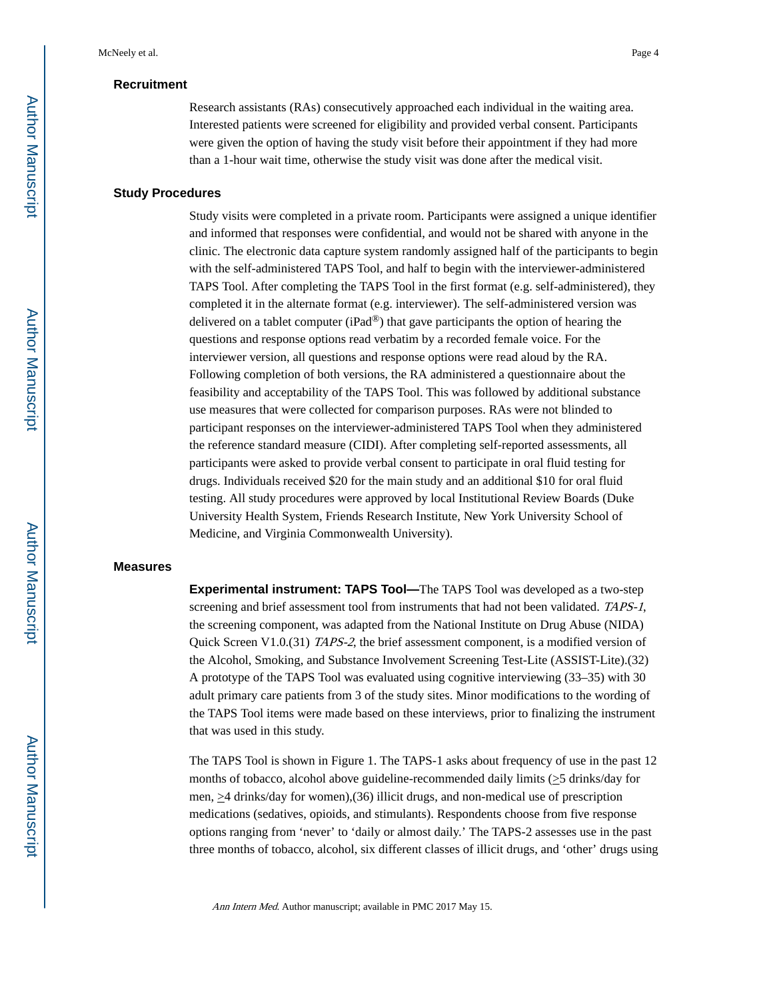#### **Recruitment**

Research assistants (RAs) consecutively approached each individual in the waiting area. Interested patients were screened for eligibility and provided verbal consent. Participants were given the option of having the study visit before their appointment if they had more than a 1-hour wait time, otherwise the study visit was done after the medical visit.

#### **Study Procedures**

Study visits were completed in a private room. Participants were assigned a unique identifier and informed that responses were confidential, and would not be shared with anyone in the clinic. The electronic data capture system randomly assigned half of the participants to begin with the self-administered TAPS Tool, and half to begin with the interviewer-administered TAPS Tool. After completing the TAPS Tool in the first format (e.g. self-administered), they completed it in the alternate format (e.g. interviewer). The self-administered version was delivered on a tablet computer (iPad®) that gave participants the option of hearing the questions and response options read verbatim by a recorded female voice. For the interviewer version, all questions and response options were read aloud by the RA. Following completion of both versions, the RA administered a questionnaire about the feasibility and acceptability of the TAPS Tool. This was followed by additional substance use measures that were collected for comparison purposes. RAs were not blinded to participant responses on the interviewer-administered TAPS Tool when they administered the reference standard measure (CIDI). After completing self-reported assessments, all participants were asked to provide verbal consent to participate in oral fluid testing for drugs. Individuals received \$20 for the main study and an additional \$10 for oral fluid testing. All study procedures were approved by local Institutional Review Boards (Duke University Health System, Friends Research Institute, New York University School of Medicine, and Virginia Commonwealth University).

#### **Measures**

**Experimental instrument: TAPS Tool—**The TAPS Tool was developed as a two-step screening and brief assessment tool from instruments that had not been validated. TAPS-1, the screening component, was adapted from the National Institute on Drug Abuse (NIDA) Quick Screen V1.0.(31) TAPS-2, the brief assessment component, is a modified version of the Alcohol, Smoking, and Substance Involvement Screening Test-Lite (ASSIST-Lite).(32) A prototype of the TAPS Tool was evaluated using cognitive interviewing (33–35) with 30 adult primary care patients from 3 of the study sites. Minor modifications to the wording of the TAPS Tool items were made based on these interviews, prior to finalizing the instrument that was used in this study.

The TAPS Tool is shown in Figure 1. The TAPS-1 asks about frequency of use in the past 12 months of tobacco, alcohol above guideline-recommended daily limits (>5 drinks/day for men,  $\geq$ 4 drinks/day for women),(36) illicit drugs, and non-medical use of prescription medications (sedatives, opioids, and stimulants). Respondents choose from five response options ranging from 'never' to 'daily or almost daily.' The TAPS-2 assesses use in the past three months of tobacco, alcohol, six different classes of illicit drugs, and 'other' drugs using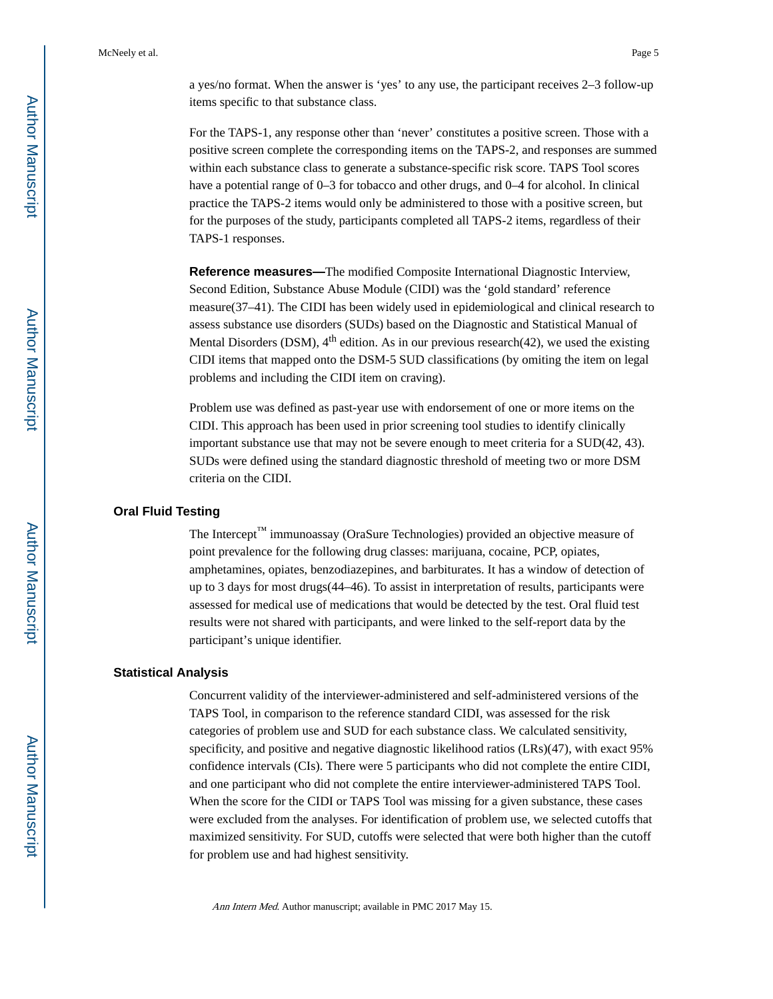For the TAPS-1, any response other than 'never' constitutes a positive screen. Those with a positive screen complete the corresponding items on the TAPS-2, and responses are summed within each substance class to generate a substance-specific risk score. TAPS Tool scores have a potential range of 0–3 for tobacco and other drugs, and 0–4 for alcohol. In clinical practice the TAPS-2 items would only be administered to those with a positive screen, but for the purposes of the study, participants completed all TAPS-2 items, regardless of their TAPS-1 responses.

**Reference measures—**The modified Composite International Diagnostic Interview, Second Edition, Substance Abuse Module (CIDI) was the 'gold standard' reference measure(37–41). The CIDI has been widely used in epidemiological and clinical research to assess substance use disorders (SUDs) based on the Diagnostic and Statistical Manual of Mental Disorders (DSM),  $4<sup>th</sup>$  edition. As in our previous research(42), we used the existing CIDI items that mapped onto the DSM-5 SUD classifications (by omiting the item on legal problems and including the CIDI item on craving).

Problem use was defined as past-year use with endorsement of one or more items on the CIDI. This approach has been used in prior screening tool studies to identify clinically important substance use that may not be severe enough to meet criteria for a SUD(42, 43). SUDs were defined using the standard diagnostic threshold of meeting two or more DSM criteria on the CIDI.

#### **Oral Fluid Testing**

The Intercept™ immunoassay (OraSure Technologies) provided an objective measure of point prevalence for the following drug classes: marijuana, cocaine, PCP, opiates, amphetamines, opiates, benzodiazepines, and barbiturates. It has a window of detection of up to 3 days for most drugs(44–46). To assist in interpretation of results, participants were assessed for medical use of medications that would be detected by the test. Oral fluid test results were not shared with participants, and were linked to the self-report data by the participant's unique identifier.

#### **Statistical Analysis**

Concurrent validity of the interviewer-administered and self-administered versions of the TAPS Tool, in comparison to the reference standard CIDI, was assessed for the risk categories of problem use and SUD for each substance class. We calculated sensitivity, specificity, and positive and negative diagnostic likelihood ratios (LRs)(47), with exact 95% confidence intervals (CIs). There were 5 participants who did not complete the entire CIDI, and one participant who did not complete the entire interviewer-administered TAPS Tool. When the score for the CIDI or TAPS Tool was missing for a given substance, these cases were excluded from the analyses. For identification of problem use, we selected cutoffs that maximized sensitivity. For SUD, cutoffs were selected that were both higher than the cutoff for problem use and had highest sensitivity.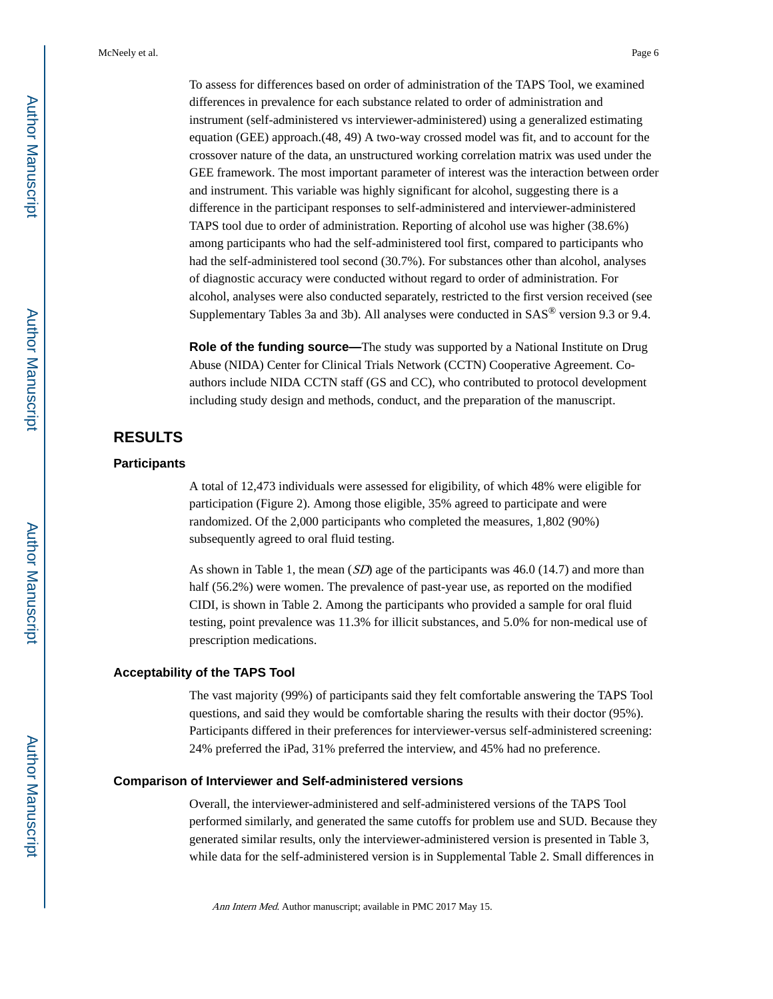To assess for differences based on order of administration of the TAPS Tool, we examined differences in prevalence for each substance related to order of administration and instrument (self-administered vs interviewer-administered) using a generalized estimating equation (GEE) approach.(48, 49) A two-way crossed model was fit, and to account for the crossover nature of the data, an unstructured working correlation matrix was used under the GEE framework. The most important parameter of interest was the interaction between order and instrument. This variable was highly significant for alcohol, suggesting there is a difference in the participant responses to self-administered and interviewer-administered TAPS tool due to order of administration. Reporting of alcohol use was higher (38.6%) among participants who had the self-administered tool first, compared to participants who had the self-administered tool second (30.7%). For substances other than alcohol, analyses of diagnostic accuracy were conducted without regard to order of administration. For alcohol, analyses were also conducted separately, restricted to the first version received (see Supplementary Tables 3a and 3b). All analyses were conducted in SAS® version 9.3 or 9.4.

**Role of the funding source—**The study was supported by a National Institute on Drug Abuse (NIDA) Center for Clinical Trials Network (CCTN) Cooperative Agreement. Coauthors include NIDA CCTN staff (GS and CC), who contributed to protocol development including study design and methods, conduct, and the preparation of the manuscript.

#### **RESULTS**

#### **Participants**

A total of 12,473 individuals were assessed for eligibility, of which 48% were eligible for participation (Figure 2). Among those eligible, 35% agreed to participate and were randomized. Of the 2,000 participants who completed the measures, 1,802 (90%) subsequently agreed to oral fluid testing.

As shown in Table 1, the mean  $(SD)$  age of the participants was 46.0 (14.7) and more than half (56.2%) were women. The prevalence of past-year use, as reported on the modified CIDI, is shown in Table 2. Among the participants who provided a sample for oral fluid testing, point prevalence was 11.3% for illicit substances, and 5.0% for non-medical use of prescription medications.

#### **Acceptability of the TAPS Tool**

The vast majority (99%) of participants said they felt comfortable answering the TAPS Tool questions, and said they would be comfortable sharing the results with their doctor (95%). Participants differed in their preferences for interviewer-versus self-administered screening: 24% preferred the iPad, 31% preferred the interview, and 45% had no preference.

#### **Comparison of Interviewer and Self-administered versions**

Overall, the interviewer-administered and self-administered versions of the TAPS Tool performed similarly, and generated the same cutoffs for problem use and SUD. Because they generated similar results, only the interviewer-administered version is presented in Table 3, while data for the self-administered version is in Supplemental Table 2. Small differences in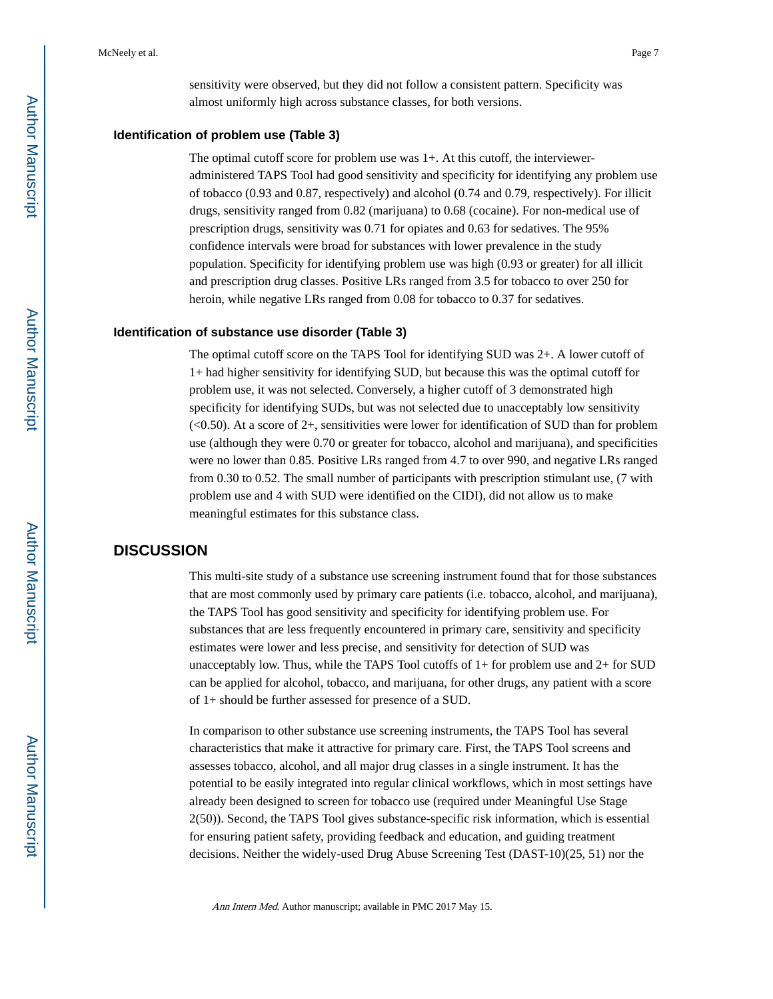sensitivity were observed, but they did not follow a consistent pattern. Specificity was almost uniformly high across substance classes, for both versions.

#### **Identification of problem use (Table 3)**

The optimal cutoff score for problem use was 1+. At this cutoff, the intervieweradministered TAPS Tool had good sensitivity and specificity for identifying any problem use of tobacco (0.93 and 0.87, respectively) and alcohol (0.74 and 0.79, respectively). For illicit drugs, sensitivity ranged from 0.82 (marijuana) to 0.68 (cocaine). For non-medical use of prescription drugs, sensitivity was 0.71 for opiates and 0.63 for sedatives. The 95% confidence intervals were broad for substances with lower prevalence in the study population. Specificity for identifying problem use was high (0.93 or greater) for all illicit and prescription drug classes. Positive LRs ranged from 3.5 for tobacco to over 250 for heroin, while negative LRs ranged from 0.08 for tobacco to 0.37 for sedatives.

#### **Identification of substance use disorder (Table 3)**

The optimal cutoff score on the TAPS Tool for identifying SUD was 2+. A lower cutoff of 1+ had higher sensitivity for identifying SUD, but because this was the optimal cutoff for problem use, it was not selected. Conversely, a higher cutoff of 3 demonstrated high specificity for identifying SUDs, but was not selected due to unacceptably low sensitivity  $\left($ <0.50). At a score of 2+, sensitivities were lower for identification of SUD than for problem use (although they were 0.70 or greater for tobacco, alcohol and marijuana), and specificities were no lower than 0.85. Positive LRs ranged from 4.7 to over 990, and negative LRs ranged from 0.30 to 0.52. The small number of participants with prescription stimulant use, (7 with problem use and 4 with SUD were identified on the CIDI), did not allow us to make meaningful estimates for this substance class.

#### **DISCUSSION**

This multi-site study of a substance use screening instrument found that for those substances that are most commonly used by primary care patients (i.e. tobacco, alcohol, and marijuana), the TAPS Tool has good sensitivity and specificity for identifying problem use. For substances that are less frequently encountered in primary care, sensitivity and specificity estimates were lower and less precise, and sensitivity for detection of SUD was unacceptably low. Thus, while the TAPS Tool cutoffs of  $1+$  for problem use and  $2+$  for SUD can be applied for alcohol, tobacco, and marijuana, for other drugs, any patient with a score of 1+ should be further assessed for presence of a SUD.

In comparison to other substance use screening instruments, the TAPS Tool has several characteristics that make it attractive for primary care. First, the TAPS Tool screens and assesses tobacco, alcohol, and all major drug classes in a single instrument. It has the potential to be easily integrated into regular clinical workflows, which in most settings have already been designed to screen for tobacco use (required under Meaningful Use Stage 2(50)). Second, the TAPS Tool gives substance-specific risk information, which is essential for ensuring patient safety, providing feedback and education, and guiding treatment decisions. Neither the widely-used Drug Abuse Screening Test (DAST-10)(25, 51) nor the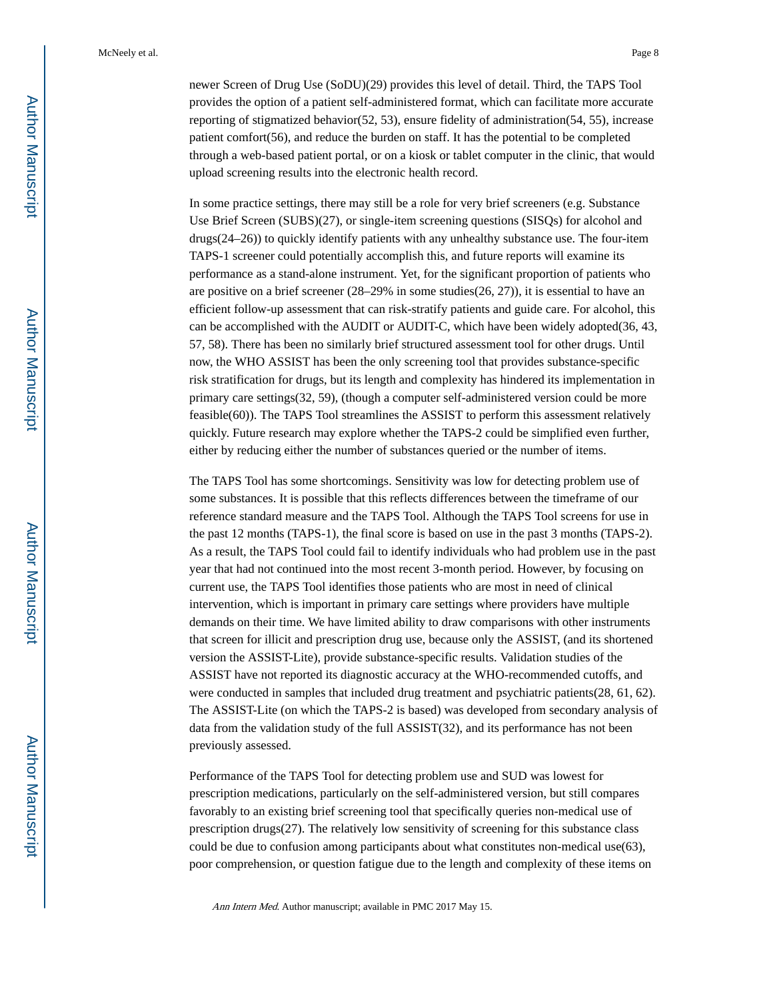newer Screen of Drug Use (SoDU)(29) provides this level of detail. Third, the TAPS Tool provides the option of a patient self-administered format, which can facilitate more accurate reporting of stigmatized behavior(52, 53), ensure fidelity of administration(54, 55), increase patient comfort(56), and reduce the burden on staff. It has the potential to be completed through a web-based patient portal, or on a kiosk or tablet computer in the clinic, that would upload screening results into the electronic health record.

In some practice settings, there may still be a role for very brief screeners (e.g. Substance Use Brief Screen (SUBS)(27), or single-item screening questions (SISQs) for alcohol and drugs(24–26)) to quickly identify patients with any unhealthy substance use. The four-item TAPS-1 screener could potentially accomplish this, and future reports will examine its performance as a stand-alone instrument. Yet, for the significant proportion of patients who are positive on a brief screener (28–29% in some studies(26, 27)), it is essential to have an efficient follow-up assessment that can risk-stratify patients and guide care. For alcohol, this can be accomplished with the AUDIT or AUDIT-C, which have been widely adopted(36, 43, 57, 58). There has been no similarly brief structured assessment tool for other drugs. Until now, the WHO ASSIST has been the only screening tool that provides substance-specific risk stratification for drugs, but its length and complexity has hindered its implementation in primary care settings(32, 59), (though a computer self-administered version could be more feasible(60)). The TAPS Tool streamlines the ASSIST to perform this assessment relatively quickly. Future research may explore whether the TAPS-2 could be simplified even further, either by reducing either the number of substances queried or the number of items.

The TAPS Tool has some shortcomings. Sensitivity was low for detecting problem use of some substances. It is possible that this reflects differences between the timeframe of our reference standard measure and the TAPS Tool. Although the TAPS Tool screens for use in the past 12 months (TAPS-1), the final score is based on use in the past 3 months (TAPS-2). As a result, the TAPS Tool could fail to identify individuals who had problem use in the past year that had not continued into the most recent 3-month period. However, by focusing on current use, the TAPS Tool identifies those patients who are most in need of clinical intervention, which is important in primary care settings where providers have multiple demands on their time. We have limited ability to draw comparisons with other instruments that screen for illicit and prescription drug use, because only the ASSIST, (and its shortened version the ASSIST-Lite), provide substance-specific results. Validation studies of the ASSIST have not reported its diagnostic accuracy at the WHO-recommended cutoffs, and were conducted in samples that included drug treatment and psychiatric patients(28, 61, 62). The ASSIST-Lite (on which the TAPS-2 is based) was developed from secondary analysis of data from the validation study of the full ASSIST(32), and its performance has not been previously assessed.

Performance of the TAPS Tool for detecting problem use and SUD was lowest for prescription medications, particularly on the self-administered version, but still compares favorably to an existing brief screening tool that specifically queries non-medical use of prescription drugs(27). The relatively low sensitivity of screening for this substance class could be due to confusion among participants about what constitutes non-medical use(63), poor comprehension, or question fatigue due to the length and complexity of these items on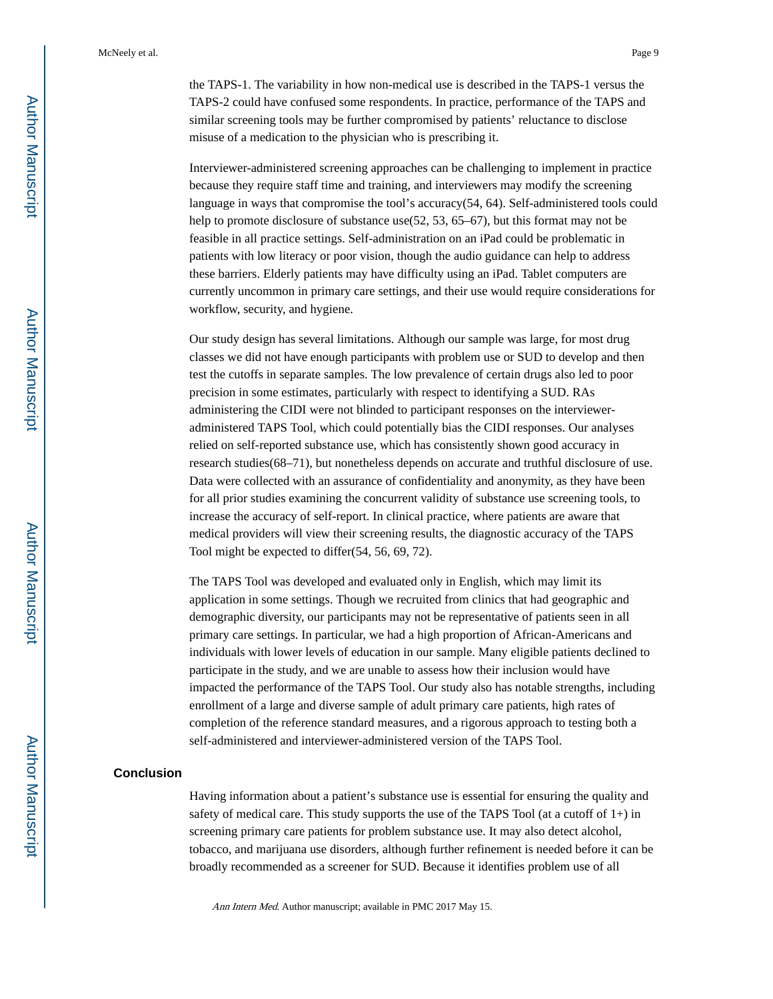the TAPS-1. The variability in how non-medical use is described in the TAPS-1 versus the TAPS-2 could have confused some respondents. In practice, performance of the TAPS and similar screening tools may be further compromised by patients' reluctance to disclose misuse of a medication to the physician who is prescribing it.

Interviewer-administered screening approaches can be challenging to implement in practice because they require staff time and training, and interviewers may modify the screening language in ways that compromise the tool's accuracy(54, 64). Self-administered tools could help to promote disclosure of substance use(52, 53, 65–67), but this format may not be feasible in all practice settings. Self-administration on an iPad could be problematic in patients with low literacy or poor vision, though the audio guidance can help to address these barriers. Elderly patients may have difficulty using an iPad. Tablet computers are currently uncommon in primary care settings, and their use would require considerations for workflow, security, and hygiene.

Our study design has several limitations. Although our sample was large, for most drug classes we did not have enough participants with problem use or SUD to develop and then test the cutoffs in separate samples. The low prevalence of certain drugs also led to poor precision in some estimates, particularly with respect to identifying a SUD. RAs administering the CIDI were not blinded to participant responses on the intervieweradministered TAPS Tool, which could potentially bias the CIDI responses. Our analyses relied on self-reported substance use, which has consistently shown good accuracy in research studies(68–71), but nonetheless depends on accurate and truthful disclosure of use. Data were collected with an assurance of confidentiality and anonymity, as they have been for all prior studies examining the concurrent validity of substance use screening tools, to increase the accuracy of self-report. In clinical practice, where patients are aware that medical providers will view their screening results, the diagnostic accuracy of the TAPS Tool might be expected to differ(54, 56, 69, 72).

The TAPS Tool was developed and evaluated only in English, which may limit its application in some settings. Though we recruited from clinics that had geographic and demographic diversity, our participants may not be representative of patients seen in all primary care settings. In particular, we had a high proportion of African-Americans and individuals with lower levels of education in our sample. Many eligible patients declined to participate in the study, and we are unable to assess how their inclusion would have impacted the performance of the TAPS Tool. Our study also has notable strengths, including enrollment of a large and diverse sample of adult primary care patients, high rates of completion of the reference standard measures, and a rigorous approach to testing both a self-administered and interviewer-administered version of the TAPS Tool.

#### **Conclusion**

Having information about a patient's substance use is essential for ensuring the quality and safety of medical care. This study supports the use of the TAPS Tool (at a cutoff of  $1+$ ) in screening primary care patients for problem substance use. It may also detect alcohol, tobacco, and marijuana use disorders, although further refinement is needed before it can be broadly recommended as a screener for SUD. Because it identifies problem use of all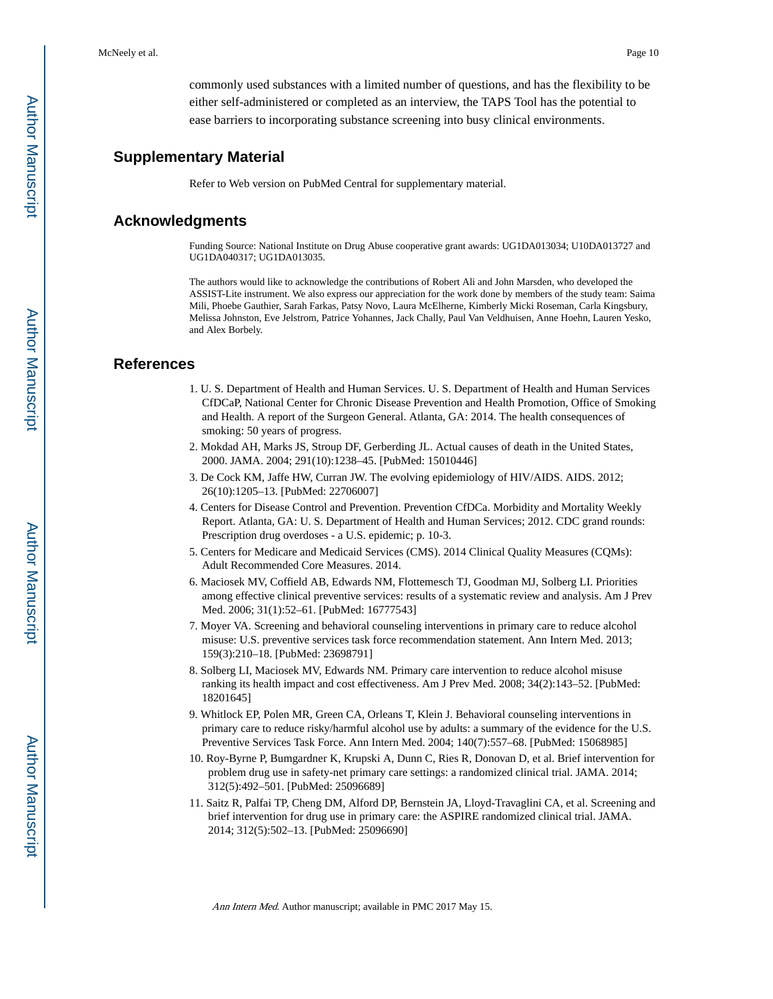commonly used substances with a limited number of questions, and has the flexibility to be either self-administered or completed as an interview, the TAPS Tool has the potential to ease barriers to incorporating substance screening into busy clinical environments.

#### **Supplementary Material**

Refer to Web version on PubMed Central for supplementary material.

#### **Acknowledgments**

Funding Source: National Institute on Drug Abuse cooperative grant awards: UG1DA013034; U10DA013727 and UG1DA040317; UG1DA013035.

The authors would like to acknowledge the contributions of Robert Ali and John Marsden, who developed the ASSIST-Lite instrument. We also express our appreciation for the work done by members of the study team: Saima Mili, Phoebe Gauthier, Sarah Farkas, Patsy Novo, Laura McElherne, Kimberly Micki Roseman, Carla Kingsbury, Melissa Johnston, Eve Jelstrom, Patrice Yohannes, Jack Chally, Paul Van Veldhuisen, Anne Hoehn, Lauren Yesko, and Alex Borbely.

#### **References**

- 1. U. S. Department of Health and Human Services. U. S. Department of Health and Human Services CfDCaP, National Center for Chronic Disease Prevention and Health Promotion, Office of Smoking and Health. A report of the Surgeon General. Atlanta, GA: 2014. The health consequences of smoking: 50 years of progress.
- 2. Mokdad AH, Marks JS, Stroup DF, Gerberding JL. Actual causes of death in the United States, 2000. JAMA. 2004; 291(10):1238–45. [PubMed: 15010446]
- 3. De Cock KM, Jaffe HW, Curran JW. The evolving epidemiology of HIV/AIDS. AIDS. 2012; 26(10):1205–13. [PubMed: 22706007]
- 4. Centers for Disease Control and Prevention. Prevention CfDCa. Morbidity and Mortality Weekly Report. Atlanta, GA: U. S. Department of Health and Human Services; 2012. CDC grand rounds: Prescription drug overdoses - a U.S. epidemic; p. 10-3.
- 5. Centers for Medicare and Medicaid Services (CMS). 2014 Clinical Quality Measures (CQMs): Adult Recommended Core Measures. 2014.
- 6. Maciosek MV, Coffield AB, Edwards NM, Flottemesch TJ, Goodman MJ, Solberg LI. Priorities among effective clinical preventive services: results of a systematic review and analysis. Am J Prev Med. 2006; 31(1):52–61. [PubMed: 16777543]
- 7. Moyer VA. Screening and behavioral counseling interventions in primary care to reduce alcohol misuse: U.S. preventive services task force recommendation statement. Ann Intern Med. 2013; 159(3):210–18. [PubMed: 23698791]
- 8. Solberg LI, Maciosek MV, Edwards NM. Primary care intervention to reduce alcohol misuse ranking its health impact and cost effectiveness. Am J Prev Med. 2008; 34(2):143–52. [PubMed: 18201645]
- 9. Whitlock EP, Polen MR, Green CA, Orleans T, Klein J. Behavioral counseling interventions in primary care to reduce risky/harmful alcohol use by adults: a summary of the evidence for the U.S. Preventive Services Task Force. Ann Intern Med. 2004; 140(7):557–68. [PubMed: 15068985]
- 10. Roy-Byrne P, Bumgardner K, Krupski A, Dunn C, Ries R, Donovan D, et al. Brief intervention for problem drug use in safety-net primary care settings: a randomized clinical trial. JAMA. 2014; 312(5):492–501. [PubMed: 25096689]
- 11. Saitz R, Palfai TP, Cheng DM, Alford DP, Bernstein JA, Lloyd-Travaglini CA, et al. Screening and brief intervention for drug use in primary care: the ASPIRE randomized clinical trial. JAMA. 2014; 312(5):502–13. [PubMed: 25096690]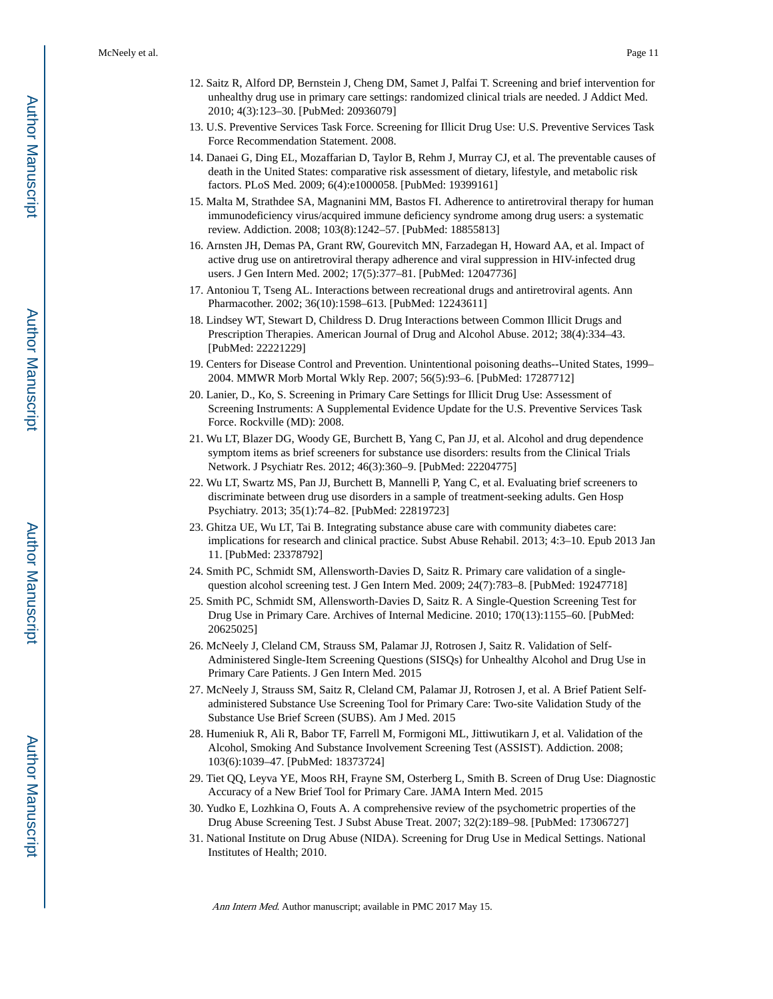- 12. Saitz R, Alford DP, Bernstein J, Cheng DM, Samet J, Palfai T. Screening and brief intervention for unhealthy drug use in primary care settings: randomized clinical trials are needed. J Addict Med. 2010; 4(3):123–30. [PubMed: 20936079]
- 13. U.S. Preventive Services Task Force. Screening for Illicit Drug Use: U.S. Preventive Services Task Force Recommendation Statement. 2008.
- 14. Danaei G, Ding EL, Mozaffarian D, Taylor B, Rehm J, Murray CJ, et al. The preventable causes of death in the United States: comparative risk assessment of dietary, lifestyle, and metabolic risk factors. PLoS Med. 2009; 6(4):e1000058. [PubMed: 19399161]
- 15. Malta M, Strathdee SA, Magnanini MM, Bastos FI. Adherence to antiretroviral therapy for human immunodeficiency virus/acquired immune deficiency syndrome among drug users: a systematic review. Addiction. 2008; 103(8):1242–57. [PubMed: 18855813]
- 16. Arnsten JH, Demas PA, Grant RW, Gourevitch MN, Farzadegan H, Howard AA, et al. Impact of active drug use on antiretroviral therapy adherence and viral suppression in HIV-infected drug users. J Gen Intern Med. 2002; 17(5):377–81. [PubMed: 12047736]
- 17. Antoniou T, Tseng AL. Interactions between recreational drugs and antiretroviral agents. Ann Pharmacother. 2002; 36(10):1598–613. [PubMed: 12243611]
- 18. Lindsey WT, Stewart D, Childress D. Drug Interactions between Common Illicit Drugs and Prescription Therapies. American Journal of Drug and Alcohol Abuse. 2012; 38(4):334–43. [PubMed: 22221229]
- 19. Centers for Disease Control and Prevention. Unintentional poisoning deaths--United States, 1999– 2004. MMWR Morb Mortal Wkly Rep. 2007; 56(5):93–6. [PubMed: 17287712]
- 20. Lanier, D., Ko, S. Screening in Primary Care Settings for Illicit Drug Use: Assessment of Screening Instruments: A Supplemental Evidence Update for the U.S. Preventive Services Task Force. Rockville (MD): 2008.
- 21. Wu LT, Blazer DG, Woody GE, Burchett B, Yang C, Pan JJ, et al. Alcohol and drug dependence symptom items as brief screeners for substance use disorders: results from the Clinical Trials Network. J Psychiatr Res. 2012; 46(3):360–9. [PubMed: 22204775]
- 22. Wu LT, Swartz MS, Pan JJ, Burchett B, Mannelli P, Yang C, et al. Evaluating brief screeners to discriminate between drug use disorders in a sample of treatment-seeking adults. Gen Hosp Psychiatry. 2013; 35(1):74–82. [PubMed: 22819723]
- 23. Ghitza UE, Wu LT, Tai B. Integrating substance abuse care with community diabetes care: implications for research and clinical practice. Subst Abuse Rehabil. 2013; 4:3–10. Epub 2013 Jan 11. [PubMed: 23378792]
- 24. Smith PC, Schmidt SM, Allensworth-Davies D, Saitz R. Primary care validation of a singlequestion alcohol screening test. J Gen Intern Med. 2009; 24(7):783–8. [PubMed: 19247718]
- 25. Smith PC, Schmidt SM, Allensworth-Davies D, Saitz R. A Single-Question Screening Test for Drug Use in Primary Care. Archives of Internal Medicine. 2010; 170(13):1155–60. [PubMed: 20625025]
- 26. McNeely J, Cleland CM, Strauss SM, Palamar JJ, Rotrosen J, Saitz R. Validation of Self-Administered Single-Item Screening Questions (SISQs) for Unhealthy Alcohol and Drug Use in Primary Care Patients. J Gen Intern Med. 2015
- 27. McNeely J, Strauss SM, Saitz R, Cleland CM, Palamar JJ, Rotrosen J, et al. A Brief Patient Selfadministered Substance Use Screening Tool for Primary Care: Two-site Validation Study of the Substance Use Brief Screen (SUBS). Am J Med. 2015
- 28. Humeniuk R, Ali R, Babor TF, Farrell M, Formigoni ML, Jittiwutikarn J, et al. Validation of the Alcohol, Smoking And Substance Involvement Screening Test (ASSIST). Addiction. 2008; 103(6):1039–47. [PubMed: 18373724]
- 29. Tiet QQ, Leyva YE, Moos RH, Frayne SM, Osterberg L, Smith B. Screen of Drug Use: Diagnostic Accuracy of a New Brief Tool for Primary Care. JAMA Intern Med. 2015
- 30. Yudko E, Lozhkina O, Fouts A. A comprehensive review of the psychometric properties of the Drug Abuse Screening Test. J Subst Abuse Treat. 2007; 32(2):189–98. [PubMed: 17306727]
- 31. National Institute on Drug Abuse (NIDA). Screening for Drug Use in Medical Settings. National Institutes of Health; 2010.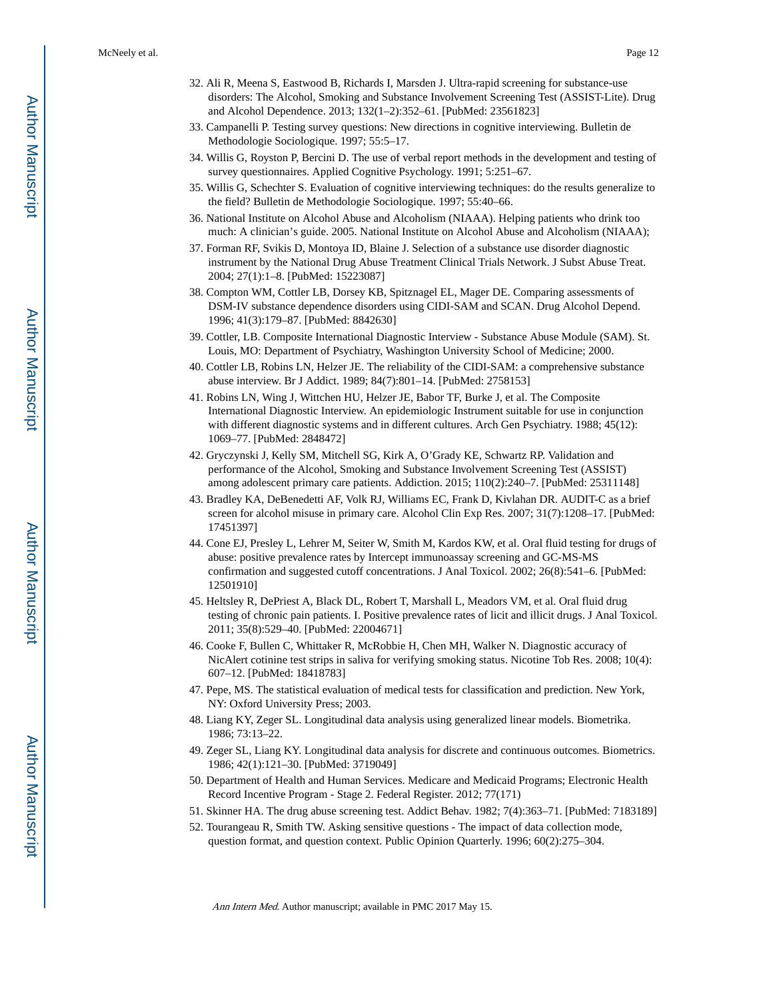- 32. Ali R, Meena S, Eastwood B, Richards I, Marsden J. Ultra-rapid screening for substance-use disorders: The Alcohol, Smoking and Substance Involvement Screening Test (ASSIST-Lite). Drug and Alcohol Dependence. 2013; 132(1–2):352–61. [PubMed: 23561823]
- 33. Campanelli P. Testing survey questions: New directions in cognitive interviewing. Bulletin de Methodologie Sociologique. 1997; 55:5–17.
- 34. Willis G, Royston P, Bercini D. The use of verbal report methods in the development and testing of survey questionnaires. Applied Cognitive Psychology. 1991; 5:251–67.
- 35. Willis G, Schechter S. Evaluation of cognitive interviewing techniques: do the results generalize to the field? Bulletin de Methodologie Sociologique. 1997; 55:40–66.
- 36. National Institute on Alcohol Abuse and Alcoholism (NIAAA). Helping patients who drink too much: A clinician's guide. 2005. National Institute on Alcohol Abuse and Alcoholism (NIAAA);
- 37. Forman RF, Svikis D, Montoya ID, Blaine J. Selection of a substance use disorder diagnostic instrument by the National Drug Abuse Treatment Clinical Trials Network. J Subst Abuse Treat. 2004; 27(1):1–8. [PubMed: 15223087]
- 38. Compton WM, Cottler LB, Dorsey KB, Spitznagel EL, Mager DE. Comparing assessments of DSM-IV substance dependence disorders using CIDI-SAM and SCAN. Drug Alcohol Depend. 1996; 41(3):179–87. [PubMed: 8842630]
- 39. Cottler, LB. Composite International Diagnostic Interview Substance Abuse Module (SAM). St. Louis, MO: Department of Psychiatry, Washington University School of Medicine; 2000.
- 40. Cottler LB, Robins LN, Helzer JE. The reliability of the CIDI-SAM: a comprehensive substance abuse interview. Br J Addict. 1989; 84(7):801–14. [PubMed: 2758153]
- 41. Robins LN, Wing J, Wittchen HU, Helzer JE, Babor TF, Burke J, et al. The Composite International Diagnostic Interview. An epidemiologic Instrument suitable for use in conjunction with different diagnostic systems and in different cultures. Arch Gen Psychiatry. 1988; 45(12): 1069–77. [PubMed: 2848472]
- 42. Gryczynski J, Kelly SM, Mitchell SG, Kirk A, O'Grady KE, Schwartz RP. Validation and performance of the Alcohol, Smoking and Substance Involvement Screening Test (ASSIST) among adolescent primary care patients. Addiction. 2015; 110(2):240–7. [PubMed: 25311148]
- 43. Bradley KA, DeBenedetti AF, Volk RJ, Williams EC, Frank D, Kivlahan DR. AUDIT-C as a brief screen for alcohol misuse in primary care. Alcohol Clin Exp Res. 2007; 31(7):1208–17. [PubMed: 17451397]
- 44. Cone EJ, Presley L, Lehrer M, Seiter W, Smith M, Kardos KW, et al. Oral fluid testing for drugs of abuse: positive prevalence rates by Intercept immunoassay screening and GC-MS-MS confirmation and suggested cutoff concentrations. J Anal Toxicol. 2002; 26(8):541–6. [PubMed: 12501910]
- 45. Heltsley R, DePriest A, Black DL, Robert T, Marshall L, Meadors VM, et al. Oral fluid drug testing of chronic pain patients. I. Positive prevalence rates of licit and illicit drugs. J Anal Toxicol. 2011; 35(8):529–40. [PubMed: 22004671]
- 46. Cooke F, Bullen C, Whittaker R, McRobbie H, Chen MH, Walker N. Diagnostic accuracy of NicAlert cotinine test strips in saliva for verifying smoking status. Nicotine Tob Res. 2008; 10(4): 607–12. [PubMed: 18418783]
- 47. Pepe, MS. The statistical evaluation of medical tests for classification and prediction. New York, NY: Oxford University Press; 2003.
- 48. Liang KY, Zeger SL. Longitudinal data analysis using generalized linear models. Biometrika. 1986; 73:13–22.
- 49. Zeger SL, Liang KY. Longitudinal data analysis for discrete and continuous outcomes. Biometrics. 1986; 42(1):121–30. [PubMed: 3719049]
- 50. Department of Health and Human Services. Medicare and Medicaid Programs; Electronic Health Record Incentive Program - Stage 2. Federal Register. 2012; 77(171)
- 51. Skinner HA. The drug abuse screening test. Addict Behav. 1982; 7(4):363–71. [PubMed: 7183189]
- 52. Tourangeau R, Smith TW. Asking sensitive questions The impact of data collection mode, question format, and question context. Public Opinion Quarterly. 1996; 60(2):275–304.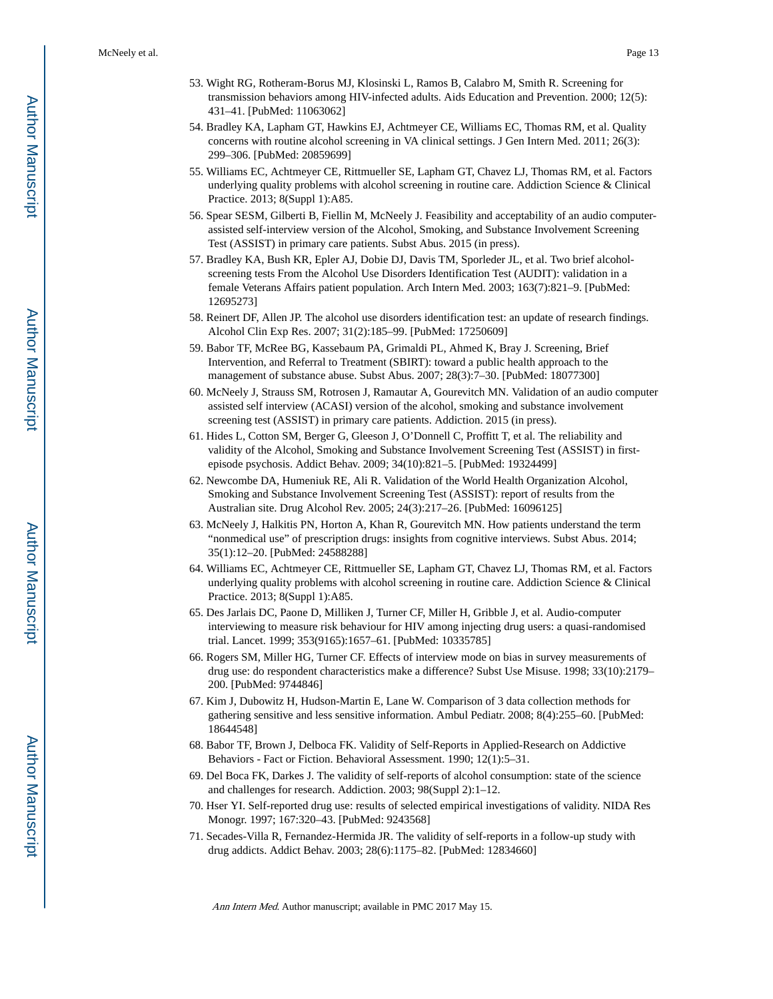- 53. Wight RG, Rotheram-Borus MJ, Klosinski L, Ramos B, Calabro M, Smith R. Screening for transmission behaviors among HIV-infected adults. Aids Education and Prevention. 2000; 12(5): 431–41. [PubMed: 11063062]
- 54. Bradley KA, Lapham GT, Hawkins EJ, Achtmeyer CE, Williams EC, Thomas RM, et al. Quality concerns with routine alcohol screening in VA clinical settings. J Gen Intern Med. 2011; 26(3): 299–306. [PubMed: 20859699]
- 55. Williams EC, Achtmeyer CE, Rittmueller SE, Lapham GT, Chavez LJ, Thomas RM, et al. Factors underlying quality problems with alcohol screening in routine care. Addiction Science & Clinical Practice. 2013; 8(Suppl 1):A85.
- 56. Spear SESM, Gilberti B, Fiellin M, McNeely J. Feasibility and acceptability of an audio computerassisted self-interview version of the Alcohol, Smoking, and Substance Involvement Screening Test (ASSIST) in primary care patients. Subst Abus. 2015 (in press).
- 57. Bradley KA, Bush KR, Epler AJ, Dobie DJ, Davis TM, Sporleder JL, et al. Two brief alcoholscreening tests From the Alcohol Use Disorders Identification Test (AUDIT): validation in a female Veterans Affairs patient population. Arch Intern Med. 2003; 163(7):821–9. [PubMed: 12695273]
- 58. Reinert DF, Allen JP. The alcohol use disorders identification test: an update of research findings. Alcohol Clin Exp Res. 2007; 31(2):185–99. [PubMed: 17250609]
- 59. Babor TF, McRee BG, Kassebaum PA, Grimaldi PL, Ahmed K, Bray J. Screening, Brief Intervention, and Referral to Treatment (SBIRT): toward a public health approach to the management of substance abuse. Subst Abus. 2007; 28(3):7–30. [PubMed: 18077300]
- 60. McNeely J, Strauss SM, Rotrosen J, Ramautar A, Gourevitch MN. Validation of an audio computer assisted self interview (ACASI) version of the alcohol, smoking and substance involvement screening test (ASSIST) in primary care patients. Addiction. 2015 (in press).
- 61. Hides L, Cotton SM, Berger G, Gleeson J, O'Donnell C, Proffitt T, et al. The reliability and validity of the Alcohol, Smoking and Substance Involvement Screening Test (ASSIST) in firstepisode psychosis. Addict Behav. 2009; 34(10):821–5. [PubMed: 19324499]
- 62. Newcombe DA, Humeniuk RE, Ali R. Validation of the World Health Organization Alcohol, Smoking and Substance Involvement Screening Test (ASSIST): report of results from the Australian site. Drug Alcohol Rev. 2005; 24(3):217–26. [PubMed: 16096125]
- 63. McNeely J, Halkitis PN, Horton A, Khan R, Gourevitch MN. How patients understand the term "nonmedical use" of prescription drugs: insights from cognitive interviews. Subst Abus. 2014; 35(1):12–20. [PubMed: 24588288]
- 64. Williams EC, Achtmeyer CE, Rittmueller SE, Lapham GT, Chavez LJ, Thomas RM, et al. Factors underlying quality problems with alcohol screening in routine care. Addiction Science & Clinical Practice. 2013; 8(Suppl 1):A85.
- 65. Des Jarlais DC, Paone D, Milliken J, Turner CF, Miller H, Gribble J, et al. Audio-computer interviewing to measure risk behaviour for HIV among injecting drug users: a quasi-randomised trial. Lancet. 1999; 353(9165):1657–61. [PubMed: 10335785]
- 66. Rogers SM, Miller HG, Turner CF. Effects of interview mode on bias in survey measurements of drug use: do respondent characteristics make a difference? Subst Use Misuse. 1998; 33(10):2179– 200. [PubMed: 9744846]
- 67. Kim J, Dubowitz H, Hudson-Martin E, Lane W. Comparison of 3 data collection methods for gathering sensitive and less sensitive information. Ambul Pediatr. 2008; 8(4):255–60. [PubMed: 18644548]
- 68. Babor TF, Brown J, Delboca FK. Validity of Self-Reports in Applied-Research on Addictive Behaviors - Fact or Fiction. Behavioral Assessment. 1990; 12(1):5–31.
- 69. Del Boca FK, Darkes J. The validity of self-reports of alcohol consumption: state of the science and challenges for research. Addiction. 2003; 98(Suppl 2):1–12.
- 70. Hser YI. Self-reported drug use: results of selected empirical investigations of validity. NIDA Res Monogr. 1997; 167:320–43. [PubMed: 9243568]
- 71. Secades-Villa R, Fernandez-Hermida JR. The validity of self-reports in a follow-up study with drug addicts. Addict Behav. 2003; 28(6):1175–82. [PubMed: 12834660]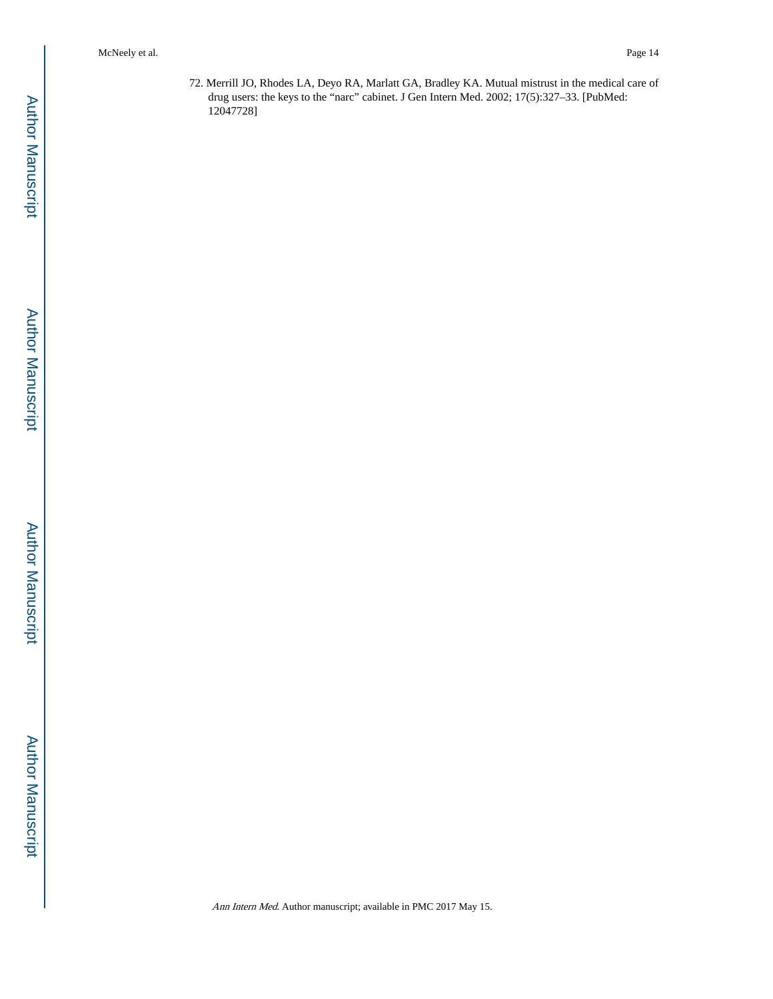72. Merrill JO, Rhodes LA, Deyo RA, Marlatt GA, Bradley KA. Mutual mistrust in the medical care of drug users: the keys to the "narc" cabinet. J Gen Intern Med. 2002; 17(5):327–33. [PubMed: 12047728]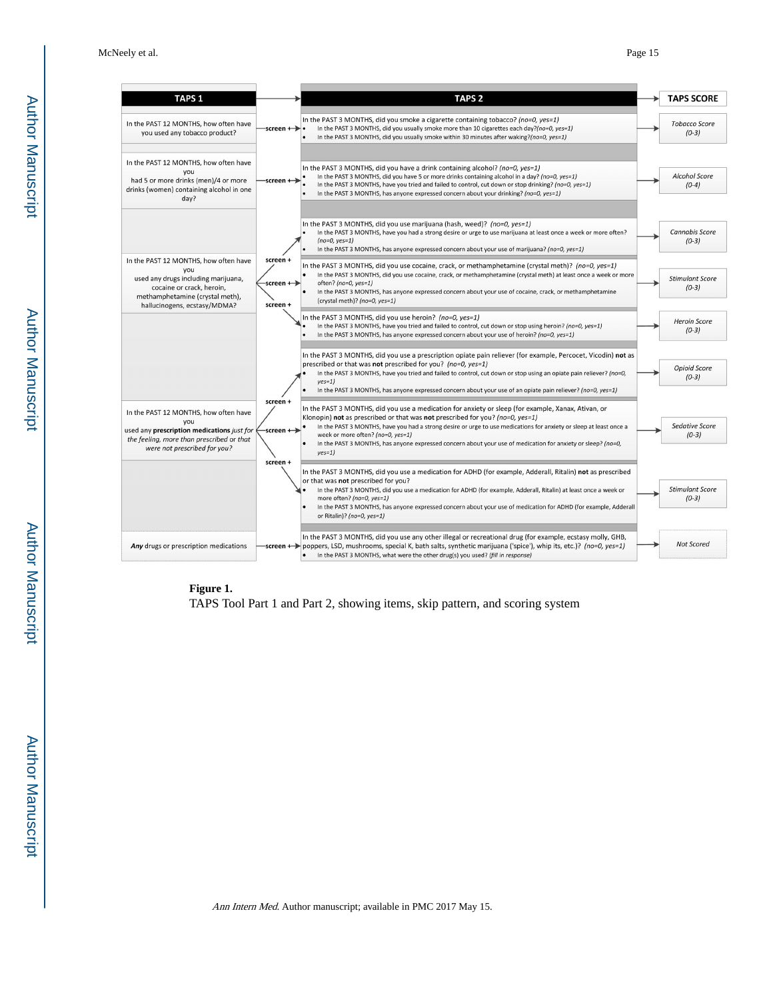| <b>TAPS 1</b>                                                                                                                                                                       | <b>TAPS 2</b>                                                                                                                                                                                                                                                                                                                                                                                                                                                                                             | <b>TAPS SCORE</b>                 |
|-------------------------------------------------------------------------------------------------------------------------------------------------------------------------------------|-----------------------------------------------------------------------------------------------------------------------------------------------------------------------------------------------------------------------------------------------------------------------------------------------------------------------------------------------------------------------------------------------------------------------------------------------------------------------------------------------------------|-----------------------------------|
| In the PAST 12 MONTHS, how often have<br>you used any tobacco product?                                                                                                              | In the PAST 3 MONTHS, did you smoke a cigarette containing tobacco? (no=0, yes=1)<br>In the PAST 3 MONTHS, did you usually smoke more than 10 cigarettes each day?( $no=0$ , yes=1)<br>-screen + $\rightarrow$ •<br>In the PAST 3 MONTHS, did you usually smoke within 30 minutes after waking?( $no=0$ , $yes=1$ )                                                                                                                                                                                       | <b>Tobacco Score</b><br>$(0-3)$   |
| In the PAST 12 MONTHS, how often have<br>vou<br>had 5 or more drinks (men)/4 or more<br>drinks (women) containing alcohol in one<br>day?                                            | In the PAST 3 MONTHS, did you have a drink containing alcohol? (no=0, yes=1)<br>In the PAST 3 MONTHS, did you have 5 or more drinks containing alcohol in a day? ( $no=0$ , $yes=1$ )<br>screen +-<br>In the PAST 3 MONTHS, have you tried and failed to control, cut down or stop drinking? (no=0, yes=1)<br>In the PAST 3 MONTHS, has anyone expressed concern about your drinking? ( $no=0$ , $yes=1$ )                                                                                                | <b>Alcohol Score</b><br>$(0-4)$   |
|                                                                                                                                                                                     | In the PAST 3 MONTHS, did you use marijuana (hash, weed)? (no=0, yes=1)<br>In the PAST 3 MONTHS, have you had a strong desire or urge to use marijuana at least once a week or more often?<br>$(no=0, yes=1)$<br>In the PAST 3 MONTHS, has anyone expressed concern about your use of marijuana? (no=0, yes=1)                                                                                                                                                                                            | <b>Cannabis Score</b><br>$(0-3)$  |
| In the PAST 12 MONTHS, how often have<br>you<br>used any drugs including marijuana,<br>cocaine or crack, heroin,<br>methamphetamine (crystal meth),<br>hallucinogens, ecstasy/MDMA? | screen +<br>In the PAST 3 MONTHS, did you use cocaine, crack, or methamphetamine (crystal meth)? (no=0, yes=1)<br>In the PAST 3 MONTHS, did you use cocaine, crack, or methamphetamine (crystal meth) at least once a week or more<br>screen +→<br>often? (no=0, yes=1)<br>In the PAST 3 MONTHS, has anyone expressed concern about your use of cocaine, crack, or methamphetamine<br>(crystal meth)? (no=0, yes=1)<br>screen +                                                                           | <b>Stimulant Score</b><br>$(0-3)$ |
|                                                                                                                                                                                     | In the PAST 3 MONTHS, did you use heroin? (no=0, yes=1)<br>In the PAST 3 MONTHS, have you tried and failed to control, cut down or stop using heroin? (no=0, yes=1)<br>In the PAST 3 MONTHS, has anyone expressed concern about your use of heroin? (no=0, yes=1)                                                                                                                                                                                                                                         | <b>Heroin Score</b><br>$(0-3)$    |
|                                                                                                                                                                                     | In the PAST 3 MONTHS, did you use a prescription opiate pain reliever (for example, Percocet, Vicodin) not as<br>prescribed or that was not prescribed for you? (no=0, yes=1)<br>In the PAST 3 MONTHS, have you tried and failed to control, cut down or stop using an opiate pain reliever? (no=0,<br>$yes=1)$<br>In the PAST 3 MONTHS, has anyone expressed concern about your use of an opiate pain reliever? (no=0, yes=1)                                                                            | <b>Opioid Score</b><br>$(0-3)$    |
| In the PAST 12 MONTHS, how often have<br>you<br>used any prescription medications just for<br>the feeling, more than prescribed or that<br>were not prescribed for you?             | screen +<br>In the PAST 3 MONTHS, did you use a medication for anxiety or sleep (for example, Xanax, Ativan, or<br>Klonopin) not as prescribed or that was not prescribed for you? (no=0, yes=1)<br>In the PAST 3 MONTHS, have you had a strong desire or urge to use medications for anxiety or sleep at least once a<br>-screen +→<br>week or more often? (no=0, yes=1)<br>In the PAST 3 MONTHS, has anyone expressed concern about your use of medication for anxiety or sleep? ( $no=0$ ,<br>$ves=1)$ | <b>Sedative Score</b><br>$(0-3)$  |
|                                                                                                                                                                                     | screen +<br>In the PAST 3 MONTHS, did you use a medication for ADHD (for example, Adderall, Ritalin) not as prescribed<br>or that was not prescribed for you?<br>In the PAST 3 MONTHS, did you use a medication for ADHD (for example, Adderall, Ritalin) at least once a week or<br>more often? (no=0, yes=1)<br>In the PAST 3 MONTHS, has anyone expressed concern about your use of medication for ADHD (for example, Adderall<br>or Ritalin)? (no=0, yes=1)                                           | <b>Stimulant Score</b><br>$(0-3)$ |
| Any drugs or prescription medications                                                                                                                                               | In the PAST 3 MONTHS, did you use any other illegal or recreational drug (for example, ecstasy molly, GHB,<br><b>-screen +</b> poppers, LSD, mushrooms, special K, bath salts, synthetic marijuana ('spice'), whip its, etc.)? (no=0, yes=1)<br>In the PAST 3 MONTHS, what were the other drug(s) you used? (fill in response)                                                                                                                                                                            | <b>Not Scored</b>                 |

#### **Figure 1.**

TAPS Tool Part 1 and Part 2, showing items, skip pattern, and scoring system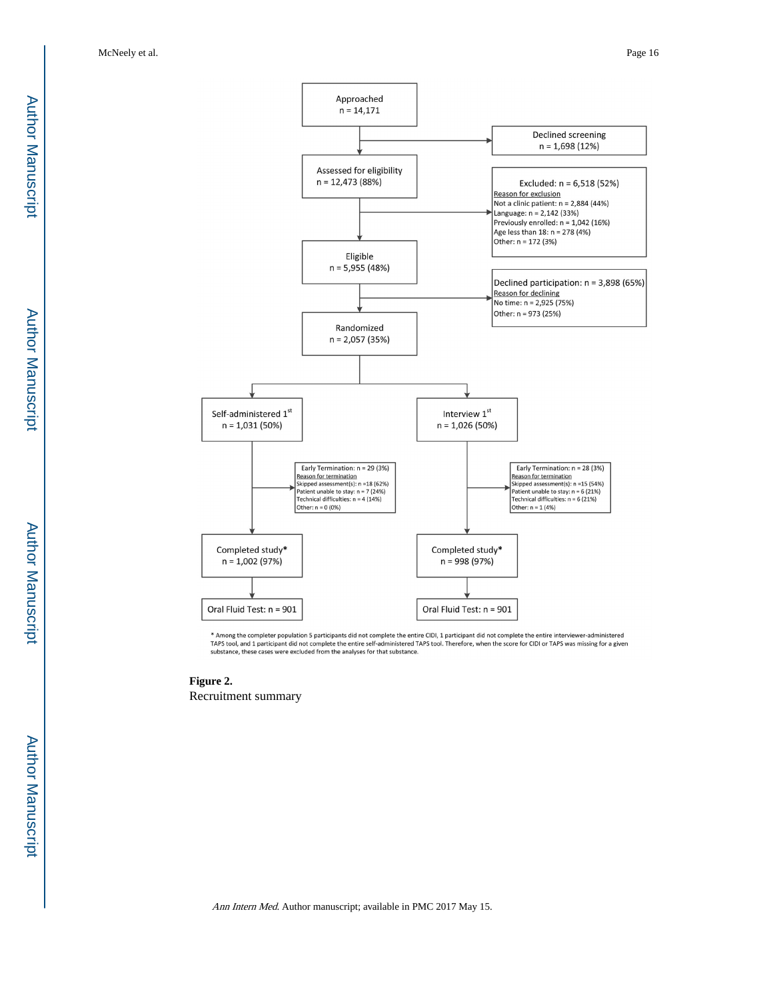

\* Among the completer population 5 participants did not complete the entire CIDI, 1 participant did not complete the entire interviewer-administered<br>TAPS tool, and 1 participant did not complete the entire self-administere substance, these cases were excluded from the analyses for that substance.

**Figure 2.**  Recruitment summary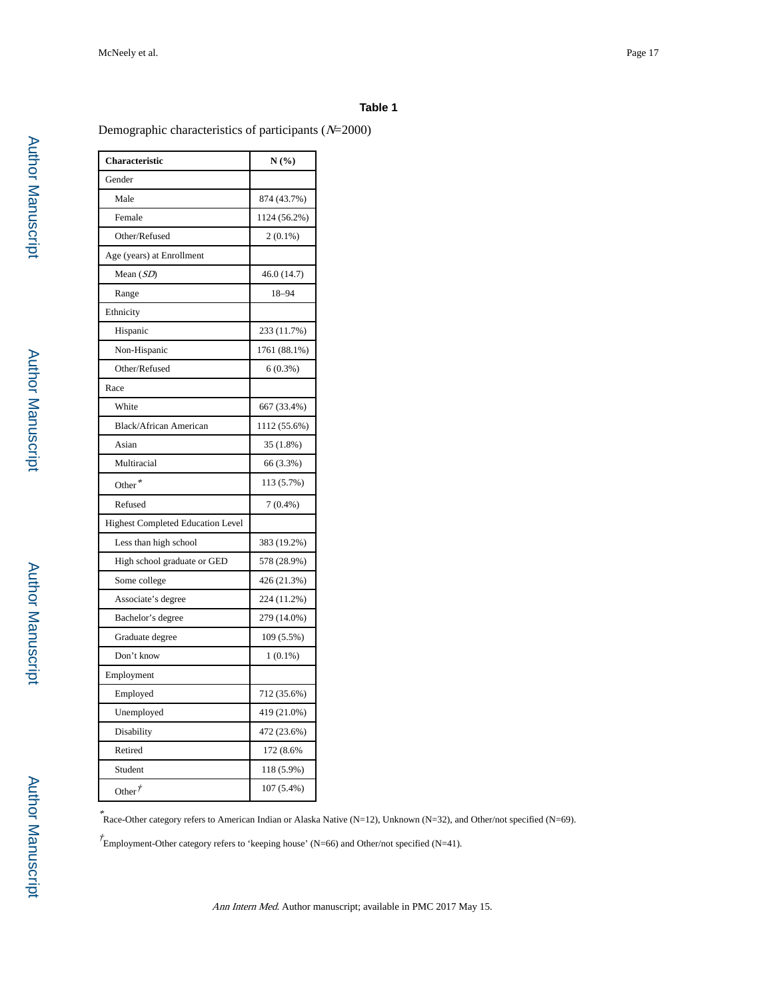#### **Table 1**

Demographic characteristics of participants (N=2000)

| Characteristic                           | $N(\%)$      |
|------------------------------------------|--------------|
| Gender                                   |              |
| Male                                     | 874 (43.7%)  |
| Female                                   | 1124 (56.2%) |
| Other/Refused                            | $2(0.1\%)$   |
| Age (years) at Enrollment                |              |
| Mean $(SD)$                              | 46.0 (14.7)  |
| Range                                    | 18-94        |
| Ethnicity                                |              |
| Hispanic                                 | 233 (11.7%)  |
| Non-Hispanic                             | 1761 (88.1%) |
| Other/Refused                            | $6(0.3\%)$   |
| Race                                     |              |
| White                                    | 667 (33.4%)  |
| Black/African American                   | 1112 (55.6%) |
| Asian                                    | 35 (1.8%)    |
| Multiracial                              | 66 (3.3%)    |
| Other <sup>*</sup>                       | 113 (5.7%)   |
| Refused                                  | $7(0.4\%)$   |
| <b>Highest Completed Education Level</b> |              |
| Less than high school                    | 383 (19.2%)  |
| High school graduate or GED              | 578 (28.9%)  |
| Some college                             | 426 (21.3%)  |
| Associate's degree                       | 224 (11.2%)  |
| Bachelor's degree                        | 279 (14.0%)  |
| Graduate degree                          | 109 (5.5%)   |
| Don't know                               | $1(0.1\%)$   |
| Employment                               |              |
| Employed                                 | 712 (35.6%)  |
| Unemployed                               | 419 (21.0%)  |
| Disability                               | 472 (23.6%)  |
| Retired                                  | 172 (8.6%    |
| Student                                  | 118 (5.9%)   |
| Other $\dot{r}$                          | 107 (5.4%)   |

\* Race-Other category refers to American Indian or Alaska Native (N=12), Unknown (N=32), and Other/not specified (N=69).

 $\dot{\mathcal{F}}$ Employment-Other category refers to 'keeping house' (N=66) and Other/not specified (N=41).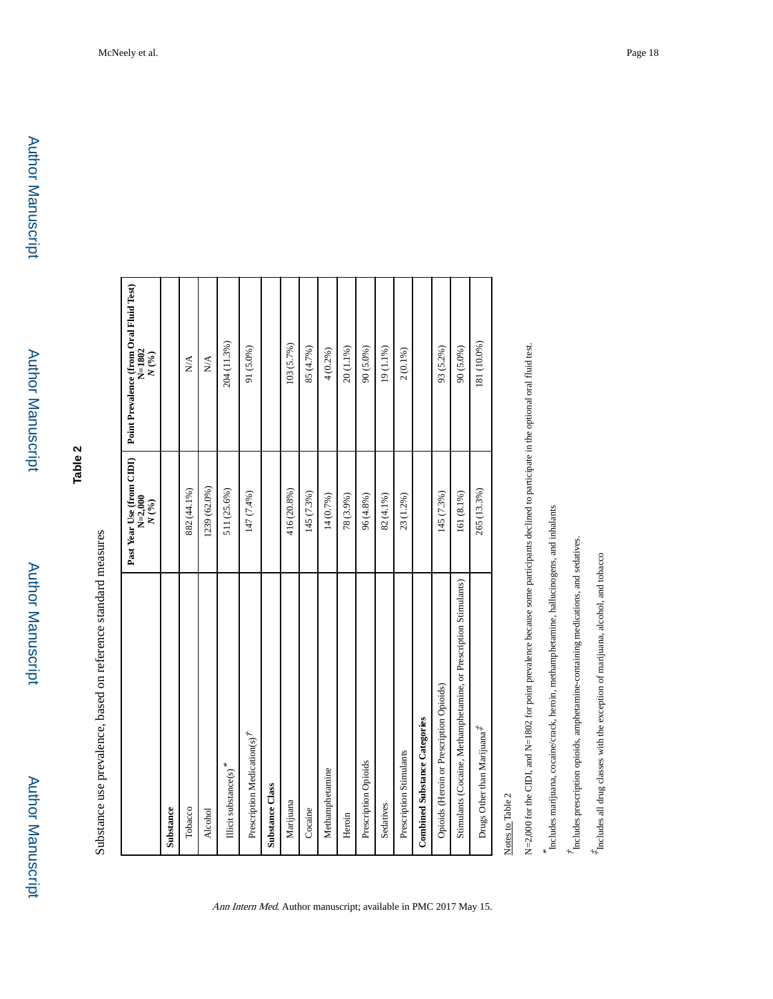# **Table 2**

Substance use prevalence, based on reference standard measures Substance use prevalence, based on reference standard measures

|                                                                   | Past Year Use (from CIDI)<br>N=2,000<br>N(%) | Point Prevalence (from Oral Fluid Test)<br>$N = 1802$<br>$N$ $\left(^{9\prime}_{0}\right)$ |
|-------------------------------------------------------------------|----------------------------------------------|--------------------------------------------------------------------------------------------|
| Substance                                                         |                                              |                                                                                            |
| Tobacco                                                           | 882 (44.1%)                                  | $\stackrel{\triangle}{\geq}$                                                               |
| Alcohol                                                           | 1239 (62.0%)                                 | $\sum_{i=1}^{n}$                                                                           |
| Illicit substance(s) <sup>*</sup>                                 | 511 (25.6%)                                  | 204 (11.3%)                                                                                |
| Prescription Medication(s) <sup>7</sup>                           | 147 (7.4%)                                   | 91 (5.0%)                                                                                  |
| <b>Substance Class</b>                                            |                                              |                                                                                            |
| Marijuana                                                         | 416 (20.8%)                                  | 103 (5.7%)                                                                                 |
| Cocaine                                                           | 145 (7.3%)                                   | 85 (4.7%)                                                                                  |
| Methamphetamine                                                   | 14 (0.7%)                                    | 4(0.2%)                                                                                    |
| Heroin                                                            | 78 (3.9%)                                    | 20 (1.1%)                                                                                  |
| Prescription Opioids                                              | 96 (4.8%)                                    | 90 (5.0%)                                                                                  |
| Sedatives                                                         | $82(4.1\%)$                                  | 19 $(1.1\%)$                                                                               |
| Prescription Stimulants                                           | 23 (1.2%)                                    | $2(0.1\%)$                                                                                 |
| <b>Combined Substance Categories</b>                              |                                              |                                                                                            |
| Opioids (Heroin or Prescription Opioids)                          | 145 (7.3%)                                   | 93 (5.2%)                                                                                  |
| Stimulants (Cocaine, Methamphetamine, or Prescription Stimulants) | 161 (8.1%)                                   | 90 (5.0%)                                                                                  |
| Drugs Other than Marijuana <sup>7</sup>                           | 265 (13.3%)                                  | 181 (10.0%)                                                                                |
|                                                                   |                                              |                                                                                            |

Ann Intern Med. Author manuscript; available in PMC 2017 May 15.

Notes to Table 2 Notes to Table 2 N=2,000 for the CIDI, and N=1802 for point prevalence because some participants declined to participate in the optional oral fluid test. N=2,000 for the CIDI, and N=1802 for point prevalence because some participants declined to participate in the optional oral fluid test.

\* (includes marijuana, cocaine/crack, heroin, methamphetamine, hallucinogens, and inhalants Includes marijuana, cocaine/crack, heroin, methamphetamine, hallucinogens, and inhalants

 $^\prime$  includes prescription opioids, amphetamine-containing medications, and sedatives. Includes prescription opioids, amphetamine-containing medications, and sedatives.

 $\stackrel{\star}{\tau}$  fncludes all drug classes with the exception of marijuana, alcohol, and to<br>bacco  $*$  Includes all drug classes with the exception of marijuana, alcohol, and tobacco